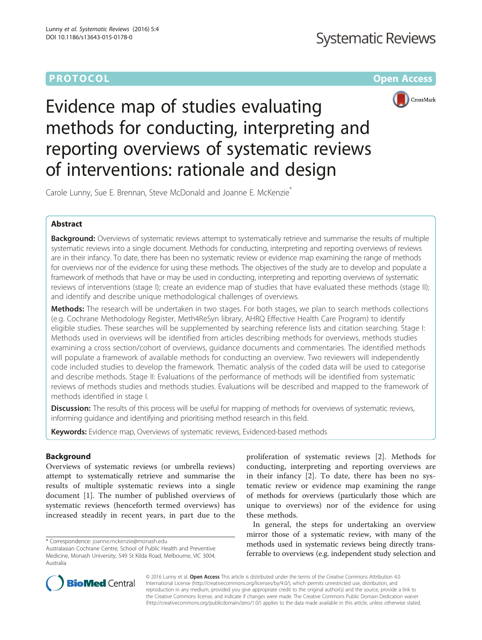# **PROTOCOL CONSUMING THE CONSUMING TEACHER CONSUMING THE CONSUMING TEACHER CONSUMING THE CONSUMING TEACHER CONSUMING**



Evidence map of studies evaluating methods for conducting, interpreting and reporting overviews of systematic reviews of interventions: rationale and design

Carole Lunny, Sue E. Brennan, Steve McDonald and Joanne E. McKenzie<sup>\*</sup>

## Abstract

Background: Overviews of systematic reviews attempt to systematically retrieve and summarise the results of multiple systematic reviews into a single document. Methods for conducting, interpreting and reporting overviews of reviews are in their infancy. To date, there has been no systematic review or evidence map examining the range of methods for overviews nor of the evidence for using these methods. The objectives of the study are to develop and populate a framework of methods that have or may be used in conducting, interpreting and reporting overviews of systematic reviews of interventions (stage I); create an evidence map of studies that have evaluated these methods (stage II); and identify and describe unique methodological challenges of overviews.

Methods: The research will be undertaken in two stages. For both stages, we plan to search methods collections (e.g. Cochrane Methodology Register, Meth4ReSyn library, AHRQ Effective Health Care Program) to identify eligible studies. These searches will be supplemented by searching reference lists and citation searching. Stage I: Methods used in overviews will be identified from articles describing methods for overviews, methods studies examining a cross section/cohort of overviews, guidance documents and commentaries. The identified methods will populate a framework of available methods for conducting an overview. Two reviewers will independently code included studies to develop the framework. Thematic analysis of the coded data will be used to categorise and describe methods. Stage II: Evaluations of the performance of methods will be identified from systematic reviews of methods studies and methods studies. Evaluations will be described and mapped to the framework of methods identified in stage I.

**Discussion:** The results of this process will be useful for mapping of methods for overviews of systematic reviews, informing guidance and identifying and prioritising method research in this field.

Keywords: Evidence map, Overviews of systematic reviews, Evidenced-based methods

## Background

Overviews of systematic reviews (or umbrella reviews) attempt to systematically retrieve and summarise the results of multiple systematic reviews into a single document [\[1](#page-7-0)]. The number of published overviews of systematic reviews (henceforth termed overviews) has increased steadily in recent years, in part due to the

\* Correspondence: [joanne.mckenzie@monash.edu](mailto:joanne.mckenzie@monash.edu)

proliferation of systematic reviews [[2](#page-7-0)]. Methods for conducting, interpreting and reporting overviews are in their infancy [[2\]](#page-7-0). To date, there has been no systematic review or evidence map examining the range of methods for overviews (particularly those which are unique to overviews) nor of the evidence for using these methods.

In general, the steps for undertaking an overview mirror those of a systematic review, with many of the methods used in systematic reviews being directly transferrable to overviews (e.g. independent study selection and



Australasian Cochrane Centre, School of Public Health and Preventive Medicine, Monash University, 549 St Kilda Road, Melbourne, VIC 3004, Australia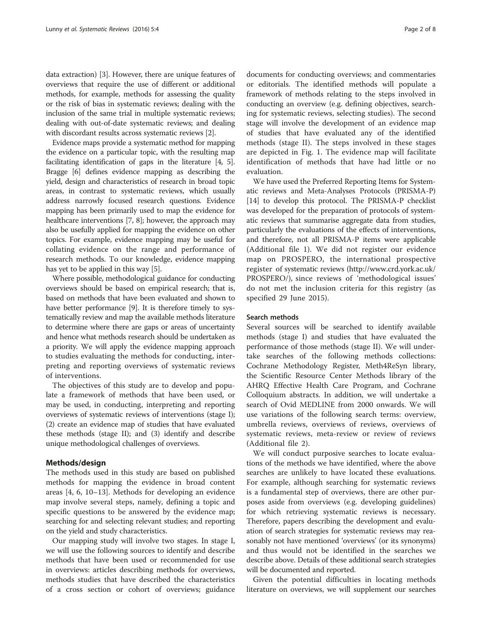data extraction) [[3\]](#page-7-0). However, there are unique features of overviews that require the use of different or additional methods, for example, methods for assessing the quality or the risk of bias in systematic reviews; dealing with the inclusion of the same trial in multiple systematic reviews; dealing with out-of-date systematic reviews; and dealing with discordant results across systematic reviews [\[2\]](#page-7-0).

Evidence maps provide a systematic method for mapping the evidence on a particular topic, with the resulting map facilitating identification of gaps in the literature [[4, 5](#page-7-0)]. Bragge [\[6\]](#page-7-0) defines evidence mapping as describing the yield, design and characteristics of research in broad topic areas, in contrast to systematic reviews, which usually address narrowly focused research questions. Evidence mapping has been primarily used to map the evidence for healthcare interventions [\[7](#page-7-0), [8\]](#page-7-0); however, the approach may also be usefully applied for mapping the evidence on other topics. For example, evidence mapping may be useful for collating evidence on the range and performance of research methods. To our knowledge, evidence mapping has yet to be applied in this way [\[5\]](#page-7-0).

Where possible, methodological guidance for conducting overviews should be based on empirical research; that is, based on methods that have been evaluated and shown to have better performance [\[9](#page-7-0)]. It is therefore timely to systematically review and map the available methods literature to determine where there are gaps or areas of uncertainty and hence what methods research should be undertaken as a priority. We will apply the evidence mapping approach to studies evaluating the methods for conducting, interpreting and reporting overviews of systematic reviews of interventions.

The objectives of this study are to develop and populate a framework of methods that have been used, or may be used, in conducting, interpreting and reporting overviews of systematic reviews of interventions (stage I); (2) create an evidence map of studies that have evaluated these methods (stage II); and (3) identify and describe unique methodological challenges of overviews.

## Methods/design

The methods used in this study are based on published methods for mapping the evidence in broad content areas [\[4, 6, 10](#page-7-0)–[13\]](#page-7-0). Methods for developing an evidence map involve several steps, namely, defining a topic and specific questions to be answered by the evidence map; searching for and selecting relevant studies; and reporting on the yield and study characteristics.

Our mapping study will involve two stages. In stage I, we will use the following sources to identify and describe methods that have been used or recommended for use in overviews: articles describing methods for overviews, methods studies that have described the characteristics of a cross section or cohort of overviews; guidance documents for conducting overviews; and commentaries or editorials. The identified methods will populate a framework of methods relating to the steps involved in conducting an overview (e.g. defining objectives, searching for systematic reviews, selecting studies). The second stage will involve the development of an evidence map of studies that have evaluated any of the identified methods (stage II). The steps involved in these stages are depicted in Fig. [1](#page-2-0). The evidence map will facilitate identification of methods that have had little or no evaluation.

We have used the Preferred Reporting Items for Systematic reviews and Meta-Analyses Protocols (PRISMA-P) [[14](#page-7-0)] to develop this protocol. The PRISMA-P checklist was developed for the preparation of protocols of systematic reviews that summarise aggregate data from studies, particularly the evaluations of the effects of interventions, and therefore, not all PRISMA-P items were applicable (Additional file [1\)](#page-6-0). We did not register our evidence map on PROSPERO, the international prospective register of systematic reviews [\(http://www.crd.york.ac.uk/](http://www.crd.york.ac.uk/PROSPERO/) [PROSPERO/](http://www.crd.york.ac.uk/PROSPERO/)), since reviews of 'methodological issues' do not met the inclusion criteria for this registry (as specified 29 June 2015).

#### Search methods

Several sources will be searched to identify available methods (stage I) and studies that have evaluated the performance of those methods (stage II). We will undertake searches of the following methods collections: Cochrane Methodology Register, Meth4ReSyn library, the Scientific Resource Center Methods library of the AHRQ Effective Health Care Program, and Cochrane Colloquium abstracts. In addition, we will undertake a search of Ovid MEDLINE from 2000 onwards. We will use variations of the following search terms: overview, umbrella reviews, overviews of reviews, overviews of systematic reviews, meta-review or review of reviews (Additional file [2\)](#page-6-0).

We will conduct purposive searches to locate evaluations of the methods we have identified, where the above searches are unlikely to have located these evaluations. For example, although searching for systematic reviews is a fundamental step of overviews, there are other purposes aside from overviews (e.g. developing guidelines) for which retrieving systematic reviews is necessary. Therefore, papers describing the development and evaluation of search strategies for systematic reviews may reasonably not have mentioned 'overviews' (or its synonyms) and thus would not be identified in the searches we describe above. Details of these additional search strategies will be documented and reported.

Given the potential difficulties in locating methods literature on overviews, we will supplement our searches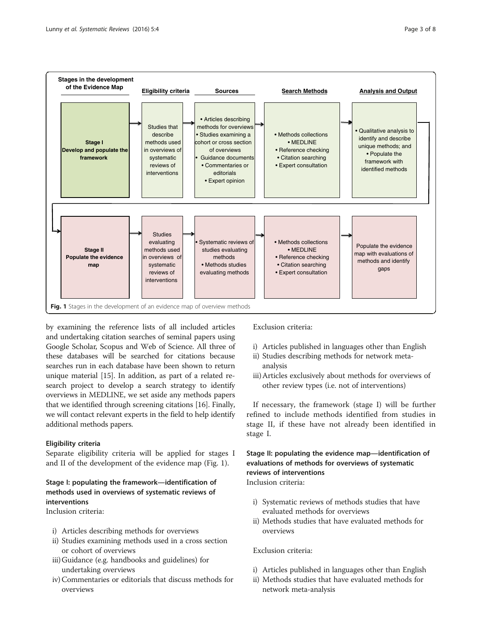<span id="page-2-0"></span>

by examining the reference lists of all included articles and undertaking citation searches of seminal papers using Google Scholar, Scopus and Web of Science. All three of these databases will be searched for citations because searches run in each database have been shown to return unique material [[15](#page-7-0)]. In addition, as part of a related research project to develop a search strategy to identify overviews in MEDLINE, we set aside any methods papers that we identified through screening citations [\[16](#page-7-0)]. Finally, we will contact relevant experts in the field to help identify additional methods papers.

## Eligibility criteria

Separate eligibility criteria will be applied for stages I and II of the development of the evidence map (Fig. 1).

# Stage I: populating the framework—identification of methods used in overviews of systematic reviews of interventions

Inclusion criteria:

- i) Articles describing methods for overviews
- ii) Studies examining methods used in a cross section or cohort of overviews
- iii)Guidance (e.g. handbooks and guidelines) for undertaking overviews
- iv) Commentaries or editorials that discuss methods for overviews

Exclusion criteria:

- i) Articles published in languages other than English
- ii) Studies describing methods for network metaanalysis
- iii)Articles exclusively about methods for overviews of other review types (i.e. not of interventions)

If necessary, the framework (stage I) will be further refined to include methods identified from studies in stage II, if these have not already been identified in stage I.

# Stage II: populating the evidence map—identification of evaluations of methods for overviews of systematic reviews of interventions

Inclusion criteria:

- i) Systematic reviews of methods studies that have evaluated methods for overviews
- ii) Methods studies that have evaluated methods for overviews

Exclusion criteria:

- i) Articles published in languages other than English
- ii) Methods studies that have evaluated methods for network meta-analysis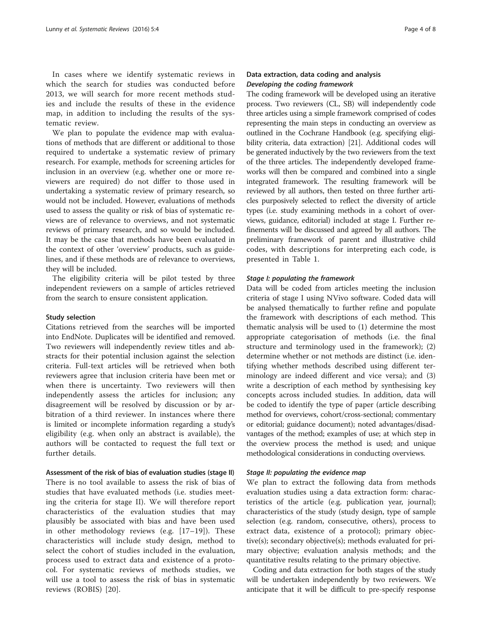In cases where we identify systematic reviews in which the search for studies was conducted before 2013, we will search for more recent methods studies and include the results of these in the evidence map, in addition to including the results of the systematic review.

We plan to populate the evidence map with evaluations of methods that are different or additional to those required to undertake a systematic review of primary research. For example, methods for screening articles for inclusion in an overview (e.g. whether one or more reviewers are required) do not differ to those used in undertaking a systematic review of primary research, so would not be included. However, evaluations of methods used to assess the quality or risk of bias of systematic reviews are of relevance to overviews, and not systematic reviews of primary research, and so would be included. It may be the case that methods have been evaluated in the context of other 'overview' products, such as guidelines, and if these methods are of relevance to overviews, they will be included.

The eligibility criteria will be pilot tested by three independent reviewers on a sample of articles retrieved from the search to ensure consistent application.

#### Study selection

Citations retrieved from the searches will be imported into EndNote. Duplicates will be identified and removed. Two reviewers will independently review titles and abstracts for their potential inclusion against the selection criteria. Full-text articles will be retrieved when both reviewers agree that inclusion criteria have been met or when there is uncertainty. Two reviewers will then independently assess the articles for inclusion; any disagreement will be resolved by discussion or by arbitration of a third reviewer. In instances where there is limited or incomplete information regarding a study's eligibility (e.g. when only an abstract is available), the authors will be contacted to request the full text or further details.

## Assessment of the risk of bias of evaluation studies (stage II)

There is no tool available to assess the risk of bias of studies that have evaluated methods (i.e. studies meeting the criteria for stage II). We will therefore report characteristics of the evaluation studies that may plausibly be associated with bias and have been used in other methodology reviews (e.g. [[17](#page-7-0)–[19\]](#page-7-0)). These characteristics will include study design, method to select the cohort of studies included in the evaluation, process used to extract data and existence of a protocol. For systematic reviews of methods studies, we will use a tool to assess the risk of bias in systematic reviews (ROBIS) [\[20](#page-7-0)].

## Data extraction, data coding and analysis Developing the coding framework

The coding framework will be developed using an iterative process. Two reviewers (CL, SB) will independently code three articles using a simple framework comprised of codes representing the main steps in conducting an overview as outlined in the Cochrane Handbook (e.g. specifying eligibility criteria, data extraction) [\[21\]](#page-7-0). Additional codes will be generated inductively by the two reviewers from the text of the three articles. The independently developed frameworks will then be compared and combined into a single integrated framework. The resulting framework will be reviewed by all authors, then tested on three further articles purposively selected to reflect the diversity of article types (i.e. study examining methods in a cohort of overviews, guidance, editorial) included at stage I. Further refinements will be discussed and agreed by all authors. The preliminary framework of parent and illustrative child codes, with descriptions for interpreting each code, is presented in Table [1.](#page-4-0)

#### Stage I: populating the framework

Data will be coded from articles meeting the inclusion criteria of stage I using NVivo software. Coded data will be analysed thematically to further refine and populate the framework with descriptions of each method. This thematic analysis will be used to (1) determine the most appropriate categorisation of methods (i.e. the final structure and terminology used in the framework); (2) determine whether or not methods are distinct (i.e. identifying whether methods described using different terminology are indeed different and vice versa); and (3) write a description of each method by synthesising key concepts across included studies. In addition, data will be coded to identify the type of paper (article describing method for overviews, cohort/cross-sectional; commentary or editorial; guidance document); noted advantages/disadvantages of the method; examples of use; at which step in the overview process the method is used; and unique methodological considerations in conducting overviews.

## Stage II: populating the evidence map

We plan to extract the following data from methods evaluation studies using a data extraction form: characteristics of the article (e.g. publication year, journal); characteristics of the study (study design, type of sample selection (e.g. random, consecutive, others), process to extract data, existence of a protocol); primary objective(s); secondary objective(s); methods evaluated for primary objective; evaluation analysis methods; and the quantitative results relating to the primary objective.

Coding and data extraction for both stages of the study will be undertaken independently by two reviewers. We anticipate that it will be difficult to pre-specify response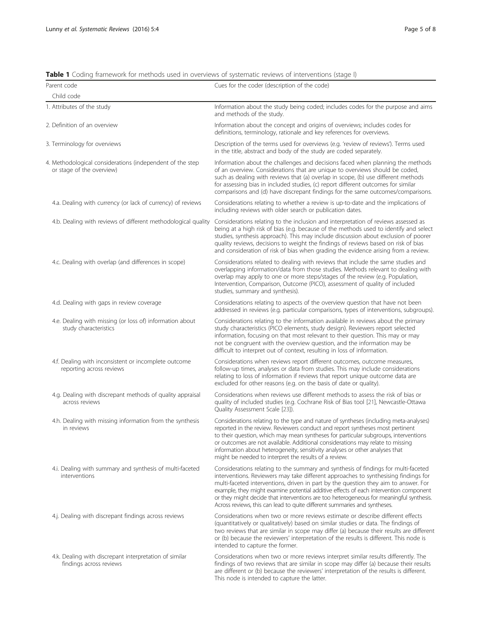| Parent code                                                                            | Cues for the coder (description of the code)                                                                                                                                                                                                                                                                                                                                                                                                                                                                                      |
|----------------------------------------------------------------------------------------|-----------------------------------------------------------------------------------------------------------------------------------------------------------------------------------------------------------------------------------------------------------------------------------------------------------------------------------------------------------------------------------------------------------------------------------------------------------------------------------------------------------------------------------|
| Child code                                                                             |                                                                                                                                                                                                                                                                                                                                                                                                                                                                                                                                   |
| 1. Attributes of the study                                                             | Information about the study being coded; includes codes for the purpose and aims<br>and methods of the study.                                                                                                                                                                                                                                                                                                                                                                                                                     |
| 2. Definition of an overview                                                           | Information about the concept and origins of overviews; includes codes for<br>definitions, terminology, rationale and key references for overviews.                                                                                                                                                                                                                                                                                                                                                                               |
| 3. Terminology for overviews                                                           | Description of the terms used for overviews (e.g. 'review of reviews'). Terms used<br>in the title, abstract and body of the study are coded separately.                                                                                                                                                                                                                                                                                                                                                                          |
| 4. Methodological considerations (independent of the step<br>or stage of the overview) | Information about the challenges and decisions faced when planning the methods<br>of an overview. Considerations that are unique to overviews should be coded,<br>such as dealing with reviews that (a) overlap in scope, (b) use different methods<br>for assessing bias in included studies, (c) report different outcomes for similar<br>comparisons and (d) have discrepant findings for the same outcomes/comparisons.                                                                                                       |
| 4.a. Dealing with currency (or lack of currency) of reviews                            | Considerations relating to whether a review is up-to-date and the implications of<br>including reviews with older search or publication dates.                                                                                                                                                                                                                                                                                                                                                                                    |
| 4.b. Dealing with reviews of different methodological quality                          | Considerations relating to the inclusion and interpretation of reviews assessed as<br>being at a high risk of bias (e.g. because of the methods used to identify and select<br>studies, synthesis approach). This may include discussion about exclusion of poorer<br>quality reviews, decisions to weight the findings of reviews based on risk of bias<br>and consideration of risk of bias when grading the evidence arising from a review.                                                                                    |
| 4.c. Dealing with overlap (and differences in scope)                                   | Considerations related to dealing with reviews that include the same studies and<br>overlapping information/data from those studies. Methods relevant to dealing with<br>overlap may apply to one or more steps/stages of the review (e.g. Population,<br>Intervention, Comparison, Outcome (PICO), assessment of quality of included<br>studies, summary and synthesis).                                                                                                                                                         |
| 4.d. Dealing with gaps in review coverage                                              | Considerations relating to aspects of the overview question that have not been<br>addressed in reviews (e.g. particular comparisons, types of interventions, subgroups).                                                                                                                                                                                                                                                                                                                                                          |
| 4.e. Dealing with missing (or loss of) information about<br>study characteristics      | Considerations relating to the information available in reviews about the primary<br>study characteristics (PICO elements, study design). Reviewers report selected<br>information, focusing on that most relevant to their question. This may or may<br>not be congruent with the overview question, and the information may be<br>difficult to interpret out of context, resulting in loss of information.                                                                                                                      |
| 4.f. Dealing with inconsistent or incomplete outcome<br>reporting across reviews       | Considerations when reviews report different outcomes, outcome measures,<br>follow-up times, analyses or data from studies. This may include considerations<br>relating to loss of information if reviews that report unique outcome data are<br>excluded for other reasons (e.g. on the basis of date or quality).                                                                                                                                                                                                               |
| 4.g. Dealing with discrepant methods of quality appraisal<br>across reviews            | Considerations when reviews use different methods to assess the risk of bias or<br>quality of included studies (e.g. Cochrane Risk of Bias tool [21], Newcastle-Ottawa<br>Quality Assessment Scale [23]).                                                                                                                                                                                                                                                                                                                         |
| 4.h. Dealing with missing information from the synthesis<br>in reviews                 | Considerations relating to the type and nature of syntheses (including meta-analyses)<br>reported in the review. Reviewers conduct and report syntheses most pertinent<br>to their question, which may mean syntheses for particular subgroups, interventions<br>or outcomes are not available. Additional considerations may relate to missing<br>information about heterogeneity, sensitivity analyses or other analyses that<br>might be needed to interpret the results of a review.                                          |
| 4.i. Dealing with summary and synthesis of multi-faceted<br>interventions              | Considerations relating to the summary and synthesis of findings for multi-faceted<br>interventions. Reviewers may take different approaches to synthesising findings for<br>multi-faceted interventions, driven in part by the question they aim to answer. For<br>example, they might examine potential additive effects of each intervention component<br>or they might decide that interventions are too heterogeneous for meaningful synthesis.<br>Across reviews, this can lead to quite different summaries and syntheses. |
| 4.j. Dealing with discrepant findings across reviews                                   | Considerations when two or more reviews estimate or describe different effects<br>(quantitatively or qualitatively) based on similar studies or data. The findings of<br>two reviews that are similar in scope may differ (a) because their results are different<br>or (b) because the reviewers' interpretation of the results is different. This node is<br>intended to capture the former.                                                                                                                                    |
| 4.k. Dealing with discrepant interpretation of similar<br>findings across reviews      | Considerations when two or more reviews interpret similar results differently. The<br>findings of two reviews that are similar in scope may differ (a) because their results<br>are different or (b) because the reviewers' interpretation of the results is different.                                                                                                                                                                                                                                                           |

This node is intended to capture the latter.

<span id="page-4-0"></span>Table 1 Coding framework for methods used in overviews of systematic reviews of interventions (stage I)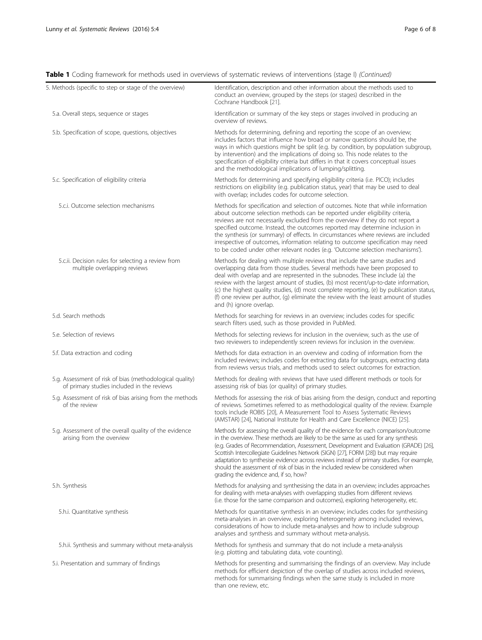|  |  |  |  |  |  |  |  |  | Table 1 Coding framework for methods used in overviews of systematic reviews of interventions (stage I) (Continued) |  |
|--|--|--|--|--|--|--|--|--|---------------------------------------------------------------------------------------------------------------------|--|
|--|--|--|--|--|--|--|--|--|---------------------------------------------------------------------------------------------------------------------|--|

| 5. Methods (specific to step or stage of the overview)                                                 | Identification, description and other information about the methods used to<br>conduct an overview, grouped by the steps (or stages) described in the<br>Cochrane Handbook [21].                                                                                                                                                                                                                                                                                                                                                                                                             |
|--------------------------------------------------------------------------------------------------------|----------------------------------------------------------------------------------------------------------------------------------------------------------------------------------------------------------------------------------------------------------------------------------------------------------------------------------------------------------------------------------------------------------------------------------------------------------------------------------------------------------------------------------------------------------------------------------------------|
| 5.a. Overall steps, sequence or stages                                                                 | Identification or summary of the key steps or stages involved in producing an<br>overview of reviews.                                                                                                                                                                                                                                                                                                                                                                                                                                                                                        |
| 5.b. Specification of scope, questions, objectives                                                     | Methods for determining, defining and reporting the scope of an overview;<br>includes factors that influence how broad or narrow questions should be, the<br>ways in which questions might be split (e.g. by condition, by population subgroup,<br>by intervention) and the implications of doing so. This node relates to the<br>specification of eligibility criteria but differs in that it covers conceptual issues<br>and the methodological implications of lumping/splitting.                                                                                                         |
| 5.c. Specification of eligibility criteria                                                             | Methods for determining and specifying eligibility criteria (i.e. PICO); includes<br>restrictions on eligibility (e.g. publication status, year) that may be used to deal<br>with overlap; includes codes for outcome selection.                                                                                                                                                                                                                                                                                                                                                             |
| 5.c.i. Outcome selection mechanisms                                                                    | Methods for specification and selection of outcomes. Note that while information<br>about outcome selection methods can be reported under eligibility criteria,<br>reviews are not necessarily excluded from the overview if they do not report a<br>specified outcome. Instead, the outcomes reported may determine inclusion in<br>the synthesis (or summary) of effects. In circumstances where reviews are included<br>irrespective of outcomes, information relating to outcome specification may need<br>to be coded under other relevant nodes (e.g. 'Outcome selection mechanisms'). |
| 5.c.ii. Decision rules for selecting a review from<br>multiple overlapping reviews                     | Methods for dealing with multiple reviews that include the same studies and<br>overlapping data from those studies. Several methods have been proposed to<br>deal with overlap and are represented in the subnodes. These include (a) the<br>review with the largest amount of studies, (b) most recent/up-to-date information,<br>(c) the highest quality studies, (d) most complete reporting, (e) by publication status,<br>(f) one review per author, (g) eliminate the review with the least amount of studies<br>and (h) ignore overlap.                                               |
| 5.d. Search methods                                                                                    | Methods for searching for reviews in an overview; includes codes for specific<br>search filters used, such as those provided in PubMed.                                                                                                                                                                                                                                                                                                                                                                                                                                                      |
| 5.e. Selection of reviews                                                                              | Methods for selecting reviews for inclusion in the overview, such as the use of<br>two reviewers to independently screen reviews for inclusion in the overview.                                                                                                                                                                                                                                                                                                                                                                                                                              |
| 5.f. Data extraction and coding                                                                        | Methods for data extraction in an overview and coding of information from the<br>included reviews; includes codes for extracting data for subgroups, extracting data<br>from reviews versus trials, and methods used to select outcomes for extraction.                                                                                                                                                                                                                                                                                                                                      |
| 5.g. Assessment of risk of bias (methodological quality)<br>of primary studies included in the reviews | Methods for dealing with reviews that have used different methods or tools for<br>assessing risk of bias (or quality) of primary studies.                                                                                                                                                                                                                                                                                                                                                                                                                                                    |
| 5.g. Assessment of risk of bias arising from the methods<br>of the review                              | Methods for assessing the risk of bias arising from the design, conduct and reporting<br>of reviews. Sometimes referred to as methodological quality of the review. Example<br>tools include ROBIS [20], A Measurement Tool to Assess Systematic Reviews<br>(AMSTAR) [24], National Institute for Health and Care Excellence (NICE) [25].                                                                                                                                                                                                                                                    |
| 5.g. Assessment of the overall quality of the evidence<br>arising from the overview                    | Methods for assessing the overall quality of the evidence for each comparison/outcome<br>in the overview. These methods are likely to be the same as used for any synthesis<br>(e.g. Grades of Recommendation, Assessment, Development and Evaluation (GRADE) [26],<br>Scottish Intercollegiate Guidelines Network (SIGN) [27], FORM [28]) but may require<br>adaptation to synthesise evidence across reviews instead of primary studies. For example,<br>should the assessment of risk of bias in the included review be considered when<br>grading the evidence and, if so, how?          |
| 5.h. Synthesis                                                                                         | Methods for analysing and synthesising the data in an overview; includes approaches<br>for dealing with meta-analyses with overlapping studies from different reviews<br>(i.e. those for the same comparison and outcomes), exploring heterogeneity, etc.                                                                                                                                                                                                                                                                                                                                    |
| 5.h.i. Quantitative synthesis                                                                          | Methods for quantitative synthesis in an overview; includes codes for synthesising<br>meta-analyses in an overview, exploring heterogeneity among included reviews,<br>considerations of how to include meta-analyses and how to include subgroup<br>analyses and synthesis and summary without meta-analysis.                                                                                                                                                                                                                                                                               |
| 5.h.ii. Synthesis and summary without meta-analysis                                                    | Methods for synthesis and summary that do not include a meta-analysis<br>(e.g. plotting and tabulating data, vote counting).                                                                                                                                                                                                                                                                                                                                                                                                                                                                 |
| 5.i. Presentation and summary of findings                                                              | Methods for presenting and summarising the findings of an overview. May include<br>methods for efficient depiction of the overlap of studies across included reviews,<br>methods for summarising findings when the same study is included in more<br>than one review, etc.                                                                                                                                                                                                                                                                                                                   |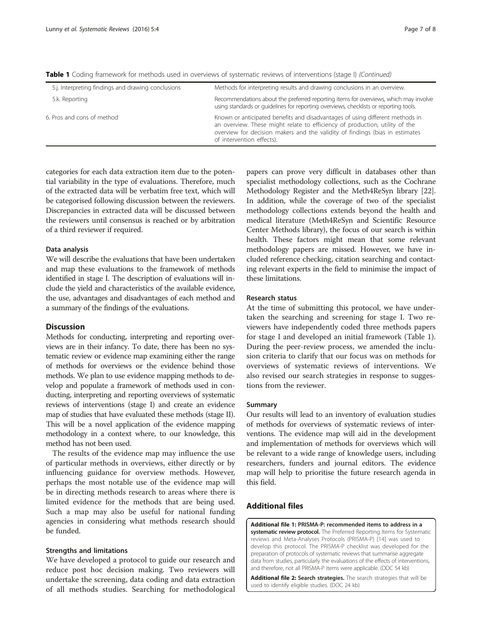5.j. Interpreting findings and drawing conclusions Methods for interpreting results and drawing conclusions in an overview. 5.k. Reporting The Recommendations about the preferred reporting items for overviews, which may involve using standards or guidelines for reporting overviews, checklists or reporting tools. 6. Pros and cons of method Known or anticipated benefits and disadvantages of using different methods in an overview. These might relate to efficiency of production, utility of the overview for decision makers and the validity of findings (bias in estimates of intervention effects).

<span id="page-6-0"></span>Table 1 Coding framework for methods used in overviews of systematic reviews of interventions (stage I) (Continued)

categories for each data extraction item due to the potential variability in the type of evaluations. Therefore, much of the extracted data will be verbatim free text, which will be categorised following discussion between the reviewers. Discrepancies in extracted data will be discussed between the reviewers until consensus is reached or by arbitration of a third reviewer if required.

## Data analysis

We will describe the evaluations that have been undertaken and map these evaluations to the framework of methods identified in stage I. The description of evaluations will include the yield and characteristics of the available evidence, the use, advantages and disadvantages of each method and a summary of the findings of the evaluations.

## **Discussion**

Methods for conducting, interpreting and reporting overviews are in their infancy. To date, there has been no systematic review or evidence map examining either the range of methods for overviews or the evidence behind those methods. We plan to use evidence mapping methods to develop and populate a framework of methods used in conducting, interpreting and reporting overviews of systematic reviews of interventions (stage I) and create an evidence map of studies that have evaluated these methods (stage II). This will be a novel application of the evidence mapping methodology in a context where, to our knowledge, this method has not been used.

The results of the evidence map may influence the use of particular methods in overviews, either directly or by influencing guidance for overview methods. However, perhaps the most notable use of the evidence map will be in directing methods research to areas where there is limited evidence for the methods that are being used. Such a map may also be useful for national funding agencies in considering what methods research should be funded.

## Strengths and limitations

We have developed a protocol to guide our research and reduce post hoc decision making. Two reviewers will undertake the screening, data coding and data extraction of all methods studies. Searching for methodological

papers can prove very difficult in databases other than specialist methodology collections, such as the Cochrane Methodology Register and the Meth4ReSyn library [[22](#page-7-0)]. In addition, while the coverage of two of the specialist methodology collections extends beyond the health and medical literature (Meth4ReSyn and Scientific Resource Center Methods library), the focus of our search is within health. These factors might mean that some relevant methodology papers are missed. However, we have included reference checking, citation searching and contacting relevant experts in the field to minimise the impact of these limitations.

#### Research status

At the time of submitting this protocol, we have undertaken the searching and screening for stage I. Two reviewers have independently coded three methods papers for stage I and developed an initial framework (Table [1](#page-4-0)). During the peer-review process, we amended the inclusion criteria to clarify that our focus was on methods for overviews of systematic reviews of interventions. We also revised our search strategies in response to suggestions from the reviewer.

#### Summary

Our results will lead to an inventory of evaluation studies of methods for overviews of systematic reviews of interventions. The evidence map will aid in the development and implementation of methods for overviews which will be relevant to a wide range of knowledge users, including researchers, funders and journal editors. The evidence map will help to prioritise the future research agenda in this field.

## Additional files

[Additional file 1:](dx.doi.org/10.1186/s13643-015-0178-0) PRISMA-P: recommended items to address in a systematic review protocol. The Preferred Reporting Items for Systematic reviews and Meta-Analyses Protocols (PRISMA-P) [[14](#page-7-0)] was used to develop this protocol. The PRISMA-P checklist was developed for the preparation of protocols of systematic reviews that summarise aggregate data from studies, particularly the evaluations of the effects of interventions, and therefore, not all PRISMA-P items were applicable. (DOC 54 kb)

[Additional file 2:](dx.doi.org/10.1186/s13643-015-0178-0) Search strategies. The search strategies that will be used to identify eligible studies. (DOC 24 kb)